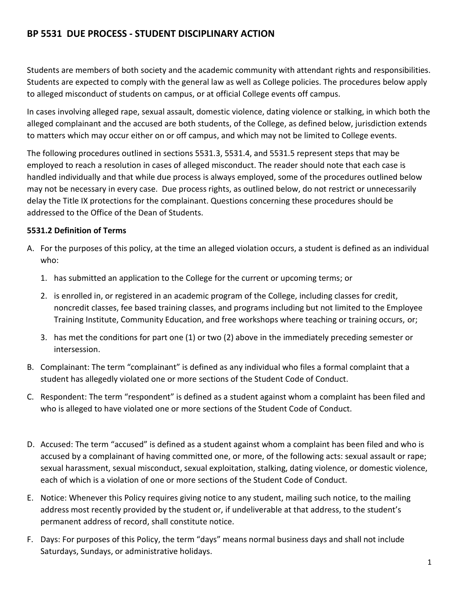# **BP 5531 DUE PROCESS - STUDENT DISCIPLINARY ACTION**

Students are members of both society and the academic community with attendant rights and responsibilities. Students are expected to comply with the general law as well as College policies. The procedures below apply to alleged misconduct of students on campus, or at official College events off campus.

In cases involving alleged rape, sexual assault, domestic violence, dating violence or stalking, in which both the alleged complainant and the accused are both students, of the College, as defined below, jurisdiction extends to matters which may occur either on or off campus, and which may not be limited to College events.

The following procedures outlined in sections 5531.3, 5531.4, and 5531.5 represent steps that may be employed to reach a resolution in cases of alleged misconduct. The reader should note that each case is handled individually and that while due process is always employed, some of the procedures outlined below may not be necessary in every case. Due process rights, as outlined below, do not restrict or unnecessarily delay the Title IX protections for the complainant. Questions concerning these procedures should be addressed to the Office of the Dean of Students.

#### **5531.2 Definition of Terms**

- A. For the purposes of this policy, at the time an alleged violation occurs, a student is defined as an individual who:
	- 1. has submitted an application to the College for the current or upcoming terms; or
	- 2. is enrolled in, or registered in an academic program of the College, including classes for credit, noncredit classes, fee based training classes, and programs including but not limited to the Employee Training Institute, Community Education, and free workshops where teaching or training occurs, or;
	- 3. has met the conditions for part one (1) or two (2) above in the immediately preceding semester or intersession.
- B. Complainant: The term "complainant" is defined as any individual who files a formal complaint that a student has allegedly violated one or more sections of the Student Code of Conduct.
- C. Respondent: The term "respondent" is defined as a student against whom a complaint has been filed and who is alleged to have violated one or more sections of the Student Code of Conduct.
- D. Accused: The term "accused" is defined as a student against whom a complaint has been filed and who is accused by a complainant of having committed one, or more, of the following acts: sexual assault or rape; sexual harassment, sexual misconduct, sexual exploitation, stalking, dating violence, or domestic violence, each of which is a violation of one or more sections of the Student Code of Conduct.
- E. Notice: Whenever this Policy requires giving notice to any student, mailing such notice, to the mailing address most recently provided by the student or, if undeliverable at that address, to the student's permanent address of record, shall constitute notice.
- F. Days: For purposes of this Policy, the term "days" means normal business days and shall not include Saturdays, Sundays, or administrative holidays.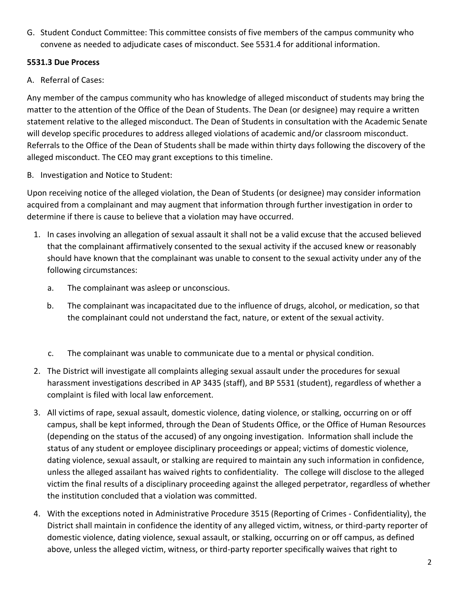G. Student Conduct Committee: This committee consists of five members of the campus community who convene as needed to adjudicate cases of misconduct. See 5531.4 for additional information.

### **5531.3 Due Process**

A. Referral of Cases:

Any member of the campus community who has knowledge of alleged misconduct of students may bring the matter to the attention of the Office of the Dean of Students. The Dean (or designee) may require a written statement relative to the alleged misconduct. The Dean of Students in consultation with the Academic Senate will develop specific procedures to address alleged violations of academic and/or classroom misconduct. Referrals to the Office of the Dean of Students shall be made within thirty days following the discovery of the alleged misconduct. The CEO may grant exceptions to this timeline.

B. Investigation and Notice to Student:

Upon receiving notice of the alleged violation, the Dean of Students (or designee) may consider information acquired from a complainant and may augment that information through further investigation in order to determine if there is cause to believe that a violation may have occurred.

- 1. In cases involving an allegation of sexual assault it shall not be a valid excuse that the accused believed that the complainant affirmatively consented to the sexual activity if the accused knew or reasonably should have known that the complainant was unable to consent to the sexual activity under any of the following circumstances:
	- a. The complainant was asleep or unconscious.
	- b. The complainant was incapacitated due to the influence of drugs, alcohol, or medication, so that the complainant could not understand the fact, nature, or extent of the sexual activity.
	- c. The complainant was unable to communicate due to a mental or physical condition.
- 2. The District will investigate all complaints alleging sexual assault under the procedures for sexual harassment investigations described in AP 3435 (staff), and BP 5531 (student), regardless of whether a complaint is filed with local law enforcement.
- 3. All victims of rape, sexual assault, domestic violence, dating violence, or stalking, occurring on or off campus, shall be kept informed, through the Dean of Students Office, or the Office of Human Resources (depending on the status of the accused) of any ongoing investigation. Information shall include the status of any student or employee disciplinary proceedings or appeal; victims of domestic violence, dating violence, sexual assault, or stalking are required to maintain any such information in confidence, unless the alleged assailant has waived rights to confidentiality. The college will disclose to the alleged victim the final results of a disciplinary proceeding against the alleged perpetrator, regardless of whether the institution concluded that a violation was committed.
- 4. With the exceptions noted in Administrative Procedure 3515 (Reporting of Crimes Confidentiality), the District shall maintain in confidence the identity of any alleged victim, witness, or third-party reporter of domestic violence, dating violence, sexual assault, or stalking, occurring on or off campus, as defined above, unless the alleged victim, witness, or third-party reporter specifically waives that right to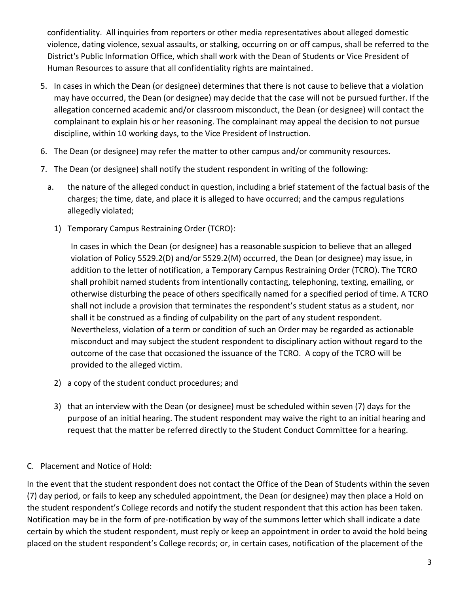confidentiality. All inquiries from reporters or other media representatives about alleged domestic violence, dating violence, sexual assaults, or stalking, occurring on or off campus, shall be referred to the District's Public Information Office, which shall work with the Dean of Students or Vice President of Human Resources to assure that all confidentiality rights are maintained.

- 5. In cases in which the Dean (or designee) determines that there is not cause to believe that a violation may have occurred, the Dean (or designee) may decide that the case will not be pursued further. If the allegation concerned academic and/or classroom misconduct, the Dean (or designee) will contact the complainant to explain his or her reasoning. The complainant may appeal the decision to not pursue discipline, within 10 working days, to the Vice President of Instruction.
- 6. The Dean (or designee) may refer the matter to other campus and/or community resources.
- 7. The Dean (or designee) shall notify the student respondent in writing of the following:
	- a. the nature of the alleged conduct in question, including a brief statement of the factual basis of the charges; the time, date, and place it is alleged to have occurred; and the campus regulations allegedly violated;
		- 1) Temporary Campus Restraining Order (TCRO):

In cases in which the Dean (or designee) has a reasonable suspicion to believe that an alleged violation of Policy 5529.2(D) and/or 5529.2(M) occurred, the Dean (or designee) may issue, in addition to the letter of notification, a Temporary Campus Restraining Order (TCRO). The TCRO shall prohibit named students from intentionally contacting, telephoning, texting, emailing, or otherwise disturbing the peace of others specifically named for a specified period of time. A TCRO shall not include a provision that terminates the respondent's student status as a student, nor shall it be construed as a finding of culpability on the part of any student respondent. Nevertheless, violation of a term or condition of such an Order may be regarded as actionable misconduct and may subject the student respondent to disciplinary action without regard to the outcome of the case that occasioned the issuance of the TCRO. A copy of the TCRO will be provided to the alleged victim.

- 2) a copy of the student conduct procedures; and
- 3) that an interview with the Dean (or designee) must be scheduled within seven (7) days for the purpose of an initial hearing. The student respondent may waive the right to an initial hearing and request that the matter be referred directly to the Student Conduct Committee for a hearing.

#### C. Placement and Notice of Hold:

In the event that the student respondent does not contact the Office of the Dean of Students within the seven (7) day period, or fails to keep any scheduled appointment, the Dean (or designee) may then place a Hold on the student respondent's College records and notify the student respondent that this action has been taken. Notification may be in the form of pre-notification by way of the summons letter which shall indicate a date certain by which the student respondent, must reply or keep an appointment in order to avoid the hold being placed on the student respondent's College records; or, in certain cases, notification of the placement of the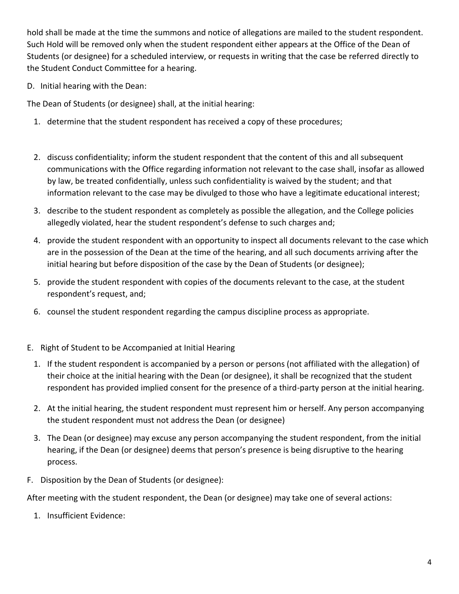hold shall be made at the time the summons and notice of allegations are mailed to the student respondent. Such Hold will be removed only when the student respondent either appears at the Office of the Dean of Students (or designee) for a scheduled interview, or requests in writing that the case be referred directly to the Student Conduct Committee for a hearing.

D. Initial hearing with the Dean:

The Dean of Students (or designee) shall, at the initial hearing:

- 1. determine that the student respondent has received a copy of these procedures;
- 2. discuss confidentiality; inform the student respondent that the content of this and all subsequent communications with the Office regarding information not relevant to the case shall, insofar as allowed by law, be treated confidentially, unless such confidentiality is waived by the student; and that information relevant to the case may be divulged to those who have a legitimate educational interest;
- 3. describe to the student respondent as completely as possible the allegation, and the College policies allegedly violated, hear the student respondent's defense to such charges and;
- 4. provide the student respondent with an opportunity to inspect all documents relevant to the case which are in the possession of the Dean at the time of the hearing, and all such documents arriving after the initial hearing but before disposition of the case by the Dean of Students (or designee);
- 5. provide the student respondent with copies of the documents relevant to the case, at the student respondent's request, and;
- 6. counsel the student respondent regarding the campus discipline process as appropriate.
- E. Right of Student to be Accompanied at Initial Hearing
	- 1. If the student respondent is accompanied by a person or persons (not affiliated with the allegation) of their choice at the initial hearing with the Dean (or designee), it shall be recognized that the student respondent has provided implied consent for the presence of a third-party person at the initial hearing.
	- 2. At the initial hearing, the student respondent must represent him or herself. Any person accompanying the student respondent must not address the Dean (or designee)
	- 3. The Dean (or designee) may excuse any person accompanying the student respondent, from the initial hearing, if the Dean (or designee) deems that person's presence is being disruptive to the hearing process.
- F. Disposition by the Dean of Students (or designee):

After meeting with the student respondent, the Dean (or designee) may take one of several actions:

1. Insufficient Evidence: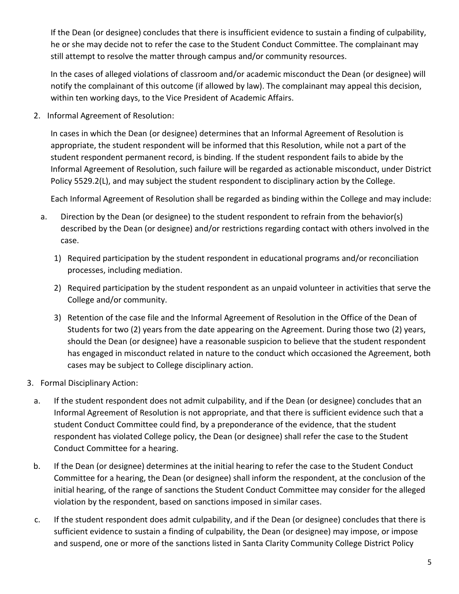If the Dean (or designee) concludes that there is insufficient evidence to sustain a finding of culpability, he or she may decide not to refer the case to the Student Conduct Committee. The complainant may still attempt to resolve the matter through campus and/or community resources.

In the cases of alleged violations of classroom and/or academic misconduct the Dean (or designee) will notify the complainant of this outcome (if allowed by law). The complainant may appeal this decision, within ten working days, to the Vice President of Academic Affairs.

2. Informal Agreement of Resolution:

In cases in which the Dean (or designee) determines that an Informal Agreement of Resolution is appropriate, the student respondent will be informed that this Resolution, while not a part of the student respondent permanent record, is binding. If the student respondent fails to abide by the Informal Agreement of Resolution, such failure will be regarded as actionable misconduct, under District Policy 5529.2(L), and may subject the student respondent to disciplinary action by the College.

Each Informal Agreement of Resolution shall be regarded as binding within the College and may include:

- a. Direction by the Dean (or designee) to the student respondent to refrain from the behavior(s) described by the Dean (or designee) and/or restrictions regarding contact with others involved in the case.
	- 1) Required participation by the student respondent in educational programs and/or reconciliation processes, including mediation.
	- 2) Required participation by the student respondent as an unpaid volunteer in activities that serve the College and/or community.
	- 3) Retention of the case file and the Informal Agreement of Resolution in the Office of the Dean of Students for two (2) years from the date appearing on the Agreement. During those two (2) years, should the Dean (or designee) have a reasonable suspicion to believe that the student respondent has engaged in misconduct related in nature to the conduct which occasioned the Agreement, both cases may be subject to College disciplinary action.
- 3. Formal Disciplinary Action:
	- a. If the student respondent does not admit culpability, and if the Dean (or designee) concludes that an Informal Agreement of Resolution is not appropriate, and that there is sufficient evidence such that a student Conduct Committee could find, by a preponderance of the evidence, that the student respondent has violated College policy, the Dean (or designee) shall refer the case to the Student Conduct Committee for a hearing.
	- b. If the Dean (or designee) determines at the initial hearing to refer the case to the Student Conduct Committee for a hearing, the Dean (or designee) shall inform the respondent, at the conclusion of the initial hearing, of the range of sanctions the Student Conduct Committee may consider for the alleged violation by the respondent, based on sanctions imposed in similar cases.
	- c. If the student respondent does admit culpability, and if the Dean (or designee) concludes that there is sufficient evidence to sustain a finding of culpability, the Dean (or designee) may impose, or impose and suspend, one or more of the sanctions listed in Santa Clarity Community College District Policy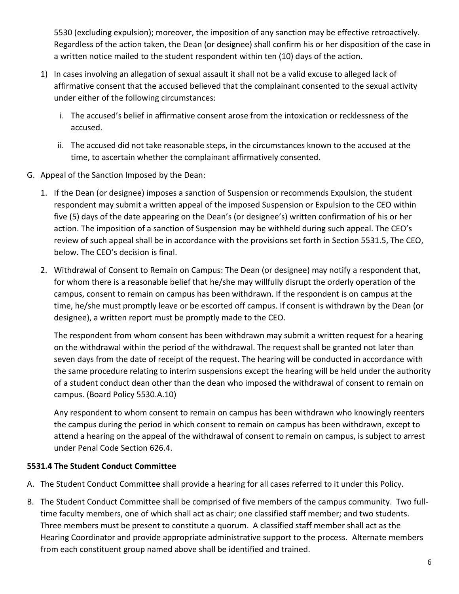5530 (excluding expulsion); moreover, the imposition of any sanction may be effective retroactively. Regardless of the action taken, the Dean (or designee) shall confirm his or her disposition of the case in a written notice mailed to the student respondent within ten (10) days of the action.

- 1) In cases involving an allegation of sexual assault it shall not be a valid excuse to alleged lack of affirmative consent that the accused believed that the complainant consented to the sexual activity under either of the following circumstances:
	- i. The accused's belief in affirmative consent arose from the intoxication or recklessness of the accused.
	- ii. The accused did not take reasonable steps, in the circumstances known to the accused at the time, to ascertain whether the complainant affirmatively consented.
- G. Appeal of the Sanction Imposed by the Dean:
	- 1. If the Dean (or designee) imposes a sanction of Suspension or recommends Expulsion, the student respondent may submit a written appeal of the imposed Suspension or Expulsion to the CEO within five (5) days of the date appearing on the Dean's (or designee's) written confirmation of his or her action. The imposition of a sanction of Suspension may be withheld during such appeal. The CEO's review of such appeal shall be in accordance with the provisions set forth in Section 5531.5, The CEO, below. The CEO's decision is final.
	- 2. Withdrawal of Consent to Remain on Campus: The Dean (or designee) may notify a respondent that, for whom there is a reasonable belief that he/she may willfully disrupt the orderly operation of the campus, consent to remain on campus has been withdrawn. If the respondent is on campus at the time, he/she must promptly leave or be escorted off campus. If consent is withdrawn by the Dean (or designee), a written report must be promptly made to the CEO.

The respondent from whom consent has been withdrawn may submit a written request for a hearing on the withdrawal within the period of the withdrawal. The request shall be granted not later than seven days from the date of receipt of the request. The hearing will be conducted in accordance with the same procedure relating to interim suspensions except the hearing will be held under the authority of a student conduct dean other than the dean who imposed the withdrawal of consent to remain on campus. (Board Policy 5530.A.10)

Any respondent to whom consent to remain on campus has been withdrawn who knowingly reenters the campus during the period in which consent to remain on campus has been withdrawn, except to attend a hearing on the appeal of the withdrawal of consent to remain on campus, is subject to arrest under Penal Code Section 626.4.

## **5531.4 The Student Conduct Committee**

- A. The Student Conduct Committee shall provide a hearing for all cases referred to it under this Policy.
- B. The Student Conduct Committee shall be comprised of five members of the campus community. Two fulltime faculty members, one of which shall act as chair; one classified staff member; and two students. Three members must be present to constitute a quorum. A classified staff member shall act as the Hearing Coordinator and provide appropriate administrative support to the process. Alternate members from each constituent group named above shall be identified and trained.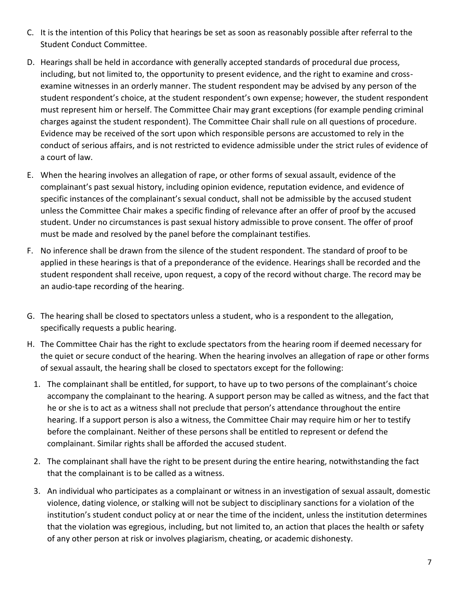- C. It is the intention of this Policy that hearings be set as soon as reasonably possible after referral to the Student Conduct Committee.
- D. Hearings shall be held in accordance with generally accepted standards of procedural due process, including, but not limited to, the opportunity to present evidence, and the right to examine and crossexamine witnesses in an orderly manner. The student respondent may be advised by any person of the student respondent's choice, at the student respondent's own expense; however, the student respondent must represent him or herself. The Committee Chair may grant exceptions (for example pending criminal charges against the student respondent). The Committee Chair shall rule on all questions of procedure. Evidence may be received of the sort upon which responsible persons are accustomed to rely in the conduct of serious affairs, and is not restricted to evidence admissible under the strict rules of evidence of a court of law.
- E. When the hearing involves an allegation of rape, or other forms of sexual assault, evidence of the complainant's past sexual history, including opinion evidence, reputation evidence, and evidence of specific instances of the complainant's sexual conduct, shall not be admissible by the accused student unless the Committee Chair makes a specific finding of relevance after an offer of proof by the accused student. Under no circumstances is past sexual history admissible to prove consent. The offer of proof must be made and resolved by the panel before the complainant testifies.
- F. No inference shall be drawn from the silence of the student respondent. The standard of proof to be applied in these hearings is that of a preponderance of the evidence. Hearings shall be recorded and the student respondent shall receive, upon request, a copy of the record without charge. The record may be an audio-tape recording of the hearing.
- G. The hearing shall be closed to spectators unless a student, who is a respondent to the allegation, specifically requests a public hearing.
- H. The Committee Chair has the right to exclude spectators from the hearing room if deemed necessary for the quiet or secure conduct of the hearing. When the hearing involves an allegation of rape or other forms of sexual assault, the hearing shall be closed to spectators except for the following:
	- 1. The complainant shall be entitled, for support, to have up to two persons of the complainant's choice accompany the complainant to the hearing. A support person may be called as witness, and the fact that he or she is to act as a witness shall not preclude that person's attendance throughout the entire hearing. If a support person is also a witness, the Committee Chair may require him or her to testify before the complainant. Neither of these persons shall be entitled to represent or defend the complainant. Similar rights shall be afforded the accused student.
	- 2. The complainant shall have the right to be present during the entire hearing, notwithstanding the fact that the complainant is to be called as a witness.
	- 3. An individual who participates as a complainant or witness in an investigation of sexual assault, domestic violence, dating violence, or stalking will not be subject to disciplinary sanctions for a violation of the institution's student conduct policy at or near the time of the incident, unless the institution determines that the violation was egregious, including, but not limited to, an action that places the health or safety of any other person at risk or involves plagiarism, cheating, or academic dishonesty.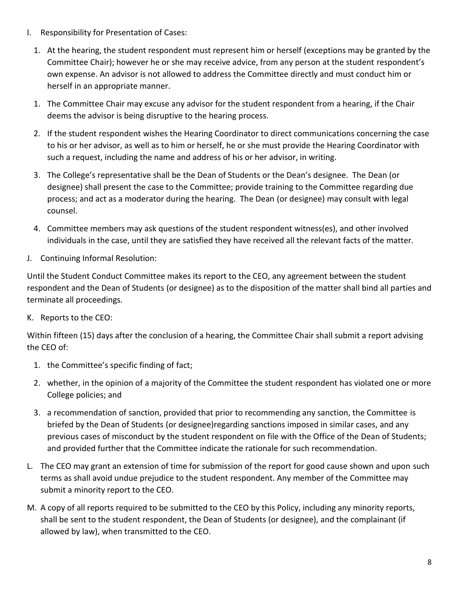- I. Responsibility for Presentation of Cases:
	- 1. At the hearing, the student respondent must represent him or herself (exceptions may be granted by the Committee Chair); however he or she may receive advice, from any person at the student respondent's own expense. An advisor is not allowed to address the Committee directly and must conduct him or herself in an appropriate manner.
	- 1. The Committee Chair may excuse any advisor for the student respondent from a hearing, if the Chair deems the advisor is being disruptive to the hearing process.
	- 2. If the student respondent wishes the Hearing Coordinator to direct communications concerning the case to his or her advisor, as well as to him or herself, he or she must provide the Hearing Coordinator with such a request, including the name and address of his or her advisor, in writing.
	- 3. The College's representative shall be the Dean of Students or the Dean's designee. The Dean (or designee) shall present the case to the Committee; provide training to the Committee regarding due process; and act as a moderator during the hearing. The Dean (or designee) may consult with legal counsel.
	- 4. Committee members may ask questions of the student respondent witness(es), and other involved individuals in the case, until they are satisfied they have received all the relevant facts of the matter.
- J. Continuing Informal Resolution:

Until the Student Conduct Committee makes its report to the CEO, any agreement between the student respondent and the Dean of Students (or designee) as to the disposition of the matter shall bind all parties and terminate all proceedings.

K. Reports to the CEO:

Within fifteen (15) days after the conclusion of a hearing, the Committee Chair shall submit a report advising the CEO of:

- 1. the Committee's specific finding of fact;
- 2. whether, in the opinion of a majority of the Committee the student respondent has violated one or more College policies; and
- 3. a recommendation of sanction, provided that prior to recommending any sanction, the Committee is briefed by the Dean of Students (or designee)regarding sanctions imposed in similar cases, and any previous cases of misconduct by the student respondent on file with the Office of the Dean of Students; and provided further that the Committee indicate the rationale for such recommendation.
- L. The CEO may grant an extension of time for submission of the report for good cause shown and upon such terms as shall avoid undue prejudice to the student respondent. Any member of the Committee may submit a minority report to the CEO.
- M. A copy of all reports required to be submitted to the CEO by this Policy, including any minority reports, shall be sent to the student respondent, the Dean of Students (or designee), and the complainant (if allowed by law), when transmitted to the CEO.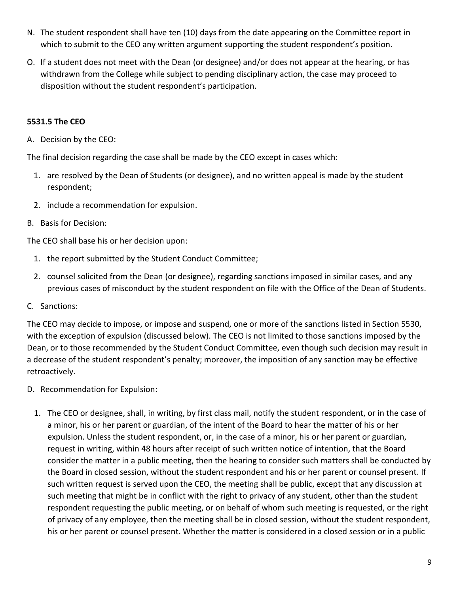- N. The student respondent shall have ten (10) days from the date appearing on the Committee report in which to submit to the CEO any written argument supporting the student respondent's position.
- O. If a student does not meet with the Dean (or designee) and/or does not appear at the hearing, or has withdrawn from the College while subject to pending disciplinary action, the case may proceed to disposition without the student respondent's participation.

#### **5531.5 The CEO**

A. Decision by the CEO:

The final decision regarding the case shall be made by the CEO except in cases which:

- 1. are resolved by the Dean of Students (or designee), and no written appeal is made by the student respondent;
- 2. include a recommendation for expulsion.
- B. Basis for Decision:

The CEO shall base his or her decision upon:

- 1. the report submitted by the Student Conduct Committee;
- 2. counsel solicited from the Dean (or designee), regarding sanctions imposed in similar cases, and any previous cases of misconduct by the student respondent on file with the Office of the Dean of Students.
- C. Sanctions:

The CEO may decide to impose, or impose and suspend, one or more of the sanctions listed in Section 5530, with the exception of expulsion (discussed below). The CEO is not limited to those sanctions imposed by the Dean, or to those recommended by the Student Conduct Committee, even though such decision may result in a decrease of the student respondent's penalty; moreover, the imposition of any sanction may be effective retroactively.

- D. Recommendation for Expulsion:
	- 1. The CEO or designee, shall, in writing, by first class mail, notify the student respondent, or in the case of a minor, his or her parent or guardian, of the intent of the Board to hear the matter of his or her expulsion. Unless the student respondent, or, in the case of a minor, his or her parent or guardian, request in writing, within 48 hours after receipt of such written notice of intention, that the Board consider the matter in a public meeting, then the hearing to consider such matters shall be conducted by the Board in closed session, without the student respondent and his or her parent or counsel present. If such written request is served upon the CEO, the meeting shall be public, except that any discussion at such meeting that might be in conflict with the right to privacy of any student, other than the student respondent requesting the public meeting, or on behalf of whom such meeting is requested, or the right of privacy of any employee, then the meeting shall be in closed session, without the student respondent, his or her parent or counsel present. Whether the matter is considered in a closed session or in a public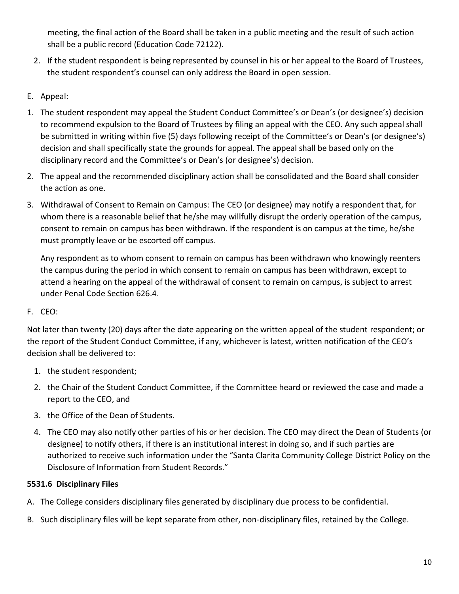meeting, the final action of the Board shall be taken in a public meeting and the result of such action shall be a public record (Education Code 72122).

- 2. If the student respondent is being represented by counsel in his or her appeal to the Board of Trustees, the student respondent's counsel can only address the Board in open session.
- E. Appeal:
- 1. The student respondent may appeal the Student Conduct Committee's or Dean's (or designee's) decision to recommend expulsion to the Board of Trustees by filing an appeal with the CEO. Any such appeal shall be submitted in writing within five (5) days following receipt of the Committee's or Dean's (or designee's) decision and shall specifically state the grounds for appeal. The appeal shall be based only on the disciplinary record and the Committee's or Dean's (or designee's) decision.
- 2. The appeal and the recommended disciplinary action shall be consolidated and the Board shall consider the action as one.
- 3. Withdrawal of Consent to Remain on Campus: The CEO (or designee) may notify a respondent that, for whom there is a reasonable belief that he/she may willfully disrupt the orderly operation of the campus, consent to remain on campus has been withdrawn. If the respondent is on campus at the time, he/she must promptly leave or be escorted off campus.

Any respondent as to whom consent to remain on campus has been withdrawn who knowingly reenters the campus during the period in which consent to remain on campus has been withdrawn, except to attend a hearing on the appeal of the withdrawal of consent to remain on campus, is subject to arrest under Penal Code Section 626.4.

## F. CEO:

Not later than twenty (20) days after the date appearing on the written appeal of the student respondent; or the report of the Student Conduct Committee, if any, whichever is latest, written notification of the CEO's decision shall be delivered to:

- 1. the student respondent;
- 2. the Chair of the Student Conduct Committee, if the Committee heard or reviewed the case and made a report to the CEO, and
- 3. the Office of the Dean of Students.
- 4. The CEO may also notify other parties of his or her decision. The CEO may direct the Dean of Students (or designee) to notify others, if there is an institutional interest in doing so, and if such parties are authorized to receive such information under the "Santa Clarita Community College District Policy on the Disclosure of Information from Student Records."

## **5531.6 Disciplinary Files**

- A. The College considers disciplinary files generated by disciplinary due process to be confidential.
- B. Such disciplinary files will be kept separate from other, non-disciplinary files, retained by the College.